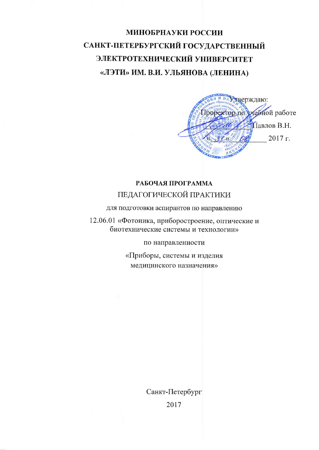# МИНОБРНАУКИ РОССИИ САНКТ-ПЕТЕРБУРГСКИЙ ГОСУДАРСТВЕННЫЙ ЭЛЕКТРОТЕХНИЧЕСКИЙ УНИВЕРСИТЕТ «ЛЭТИ» ИМ. В.И. УЛЬЯНОВА (ЛЕНИНА)



#### РАБОЧАЯ ПРОГРАММА ПЕДАГОГИЧЕСКОЙ ПРАКТИКИ

для подготовки аспирантов по направлению

12.06.01 «Фотоника, приборостроение, оптические и биотехнические системы и технологии»

по направленности

«Приборы, системы и изделия медицинского назначения»

> Санкт-Петербург 2017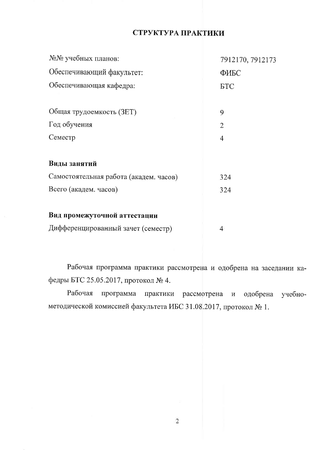#### СТРУКТУРА ПРАКТИКИ

| №№ учебных планов:                     | 7912170, 7912173 |
|----------------------------------------|------------------|
| Обеспечивающий факультет:              | ФИБС             |
| Обеспечивающая кафедра:                | <b>FLC</b>       |
| Общая трудоемкость (ЗЕТ)               | 9                |
| Год обучения                           | $\overline{2}$   |
| Семестр                                | $\overline{4}$   |
| Виды занятий                           |                  |
| Самостоятельная работа (академ. часов) | 324              |
| Всего (академ. часов)                  | 324              |
| Вид промежуточной аттестации           |                  |

| Дифференцированный зачет (семестр) |  |
|------------------------------------|--|
|                                    |  |

Рабочая программа практики рассмотрена и одобрена на заседании кафедры БТС 25.05.2017, протокол № 4.

программа практики рассмотрена и Рабочая одобрена учебнометодической комиссией факультета ИБС 31.08.2017, протокол № 1.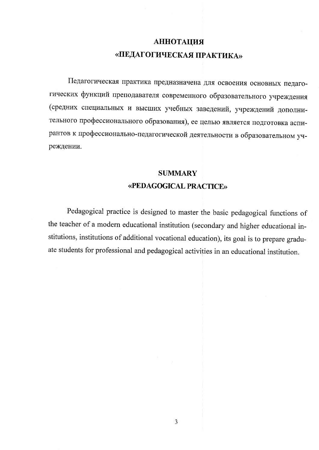## **АННОТАЦИЯ** «ПЕДАГОГИЧЕСКАЯ ПРАКТИКА»

Педагогическая практика предназначена для освоения основных педагогических функций преподавателя современного образовательного учреждения (средних специальных и высших учебных заведений, учреждений дополнительного профессионального образования), ее целью является подготовка аспирантов к профессионально-педагогической деятельности в образовательном учреждении.

## **SUMMARY** «PEDAGOGICAL PRACTICE»

Pedagogical practice is designed to master the basic pedagogical functions of the teacher of a modern educational institution (secondary and higher educational institutions, institutions of additional vocational education), its goal is to prepare graduate students for professional and pedagogical activities in an educational institution.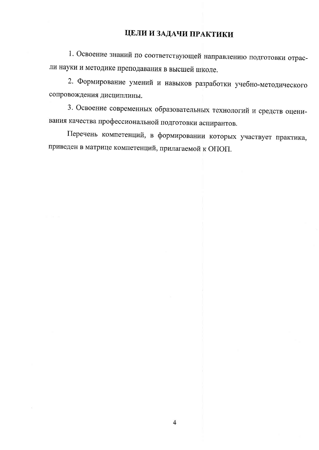## ЦЕЛИ И ЗАДАЧИ ПРАКТИКИ

1. Освоение знаний по соответствующей направлению подготовки отрасли науки и методике преподавания в высшей школе.

2. Формирование умений и навыков разработки учебно-методического сопровождения дисциплины.

3. Освоение современных образовательных технологий и средств оценивания качества профессиональной подготовки аспирантов.

Перечень компетенций, в формировании которых участвует практика, приведен в матрице компетенций, прилагаемой к ОПОП.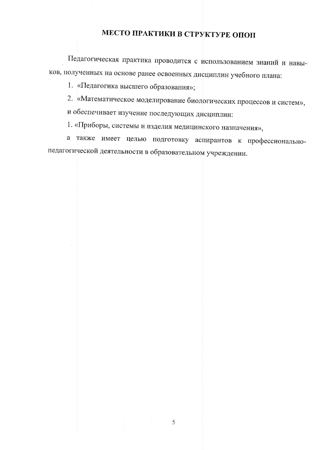## МЕСТО ПРАКТИКИ В СТРУКТУРЕ ОПОП

Педагогическая практика проводится с использованием знаний и навыков, полученных на основе ранее освоенных дисциплин учебного плана:

1. «Педагогика высшего образования»;

2. «Математическое моделирование биологических процессов и систем», и обеспечивает изучение последующих дисциплин:

1. «Приборы, системы и изделия медицинского назначения»,

а также имеет целью подготовку аспирантов к профессиональнопедагогической деятельности в образовательном учреждении.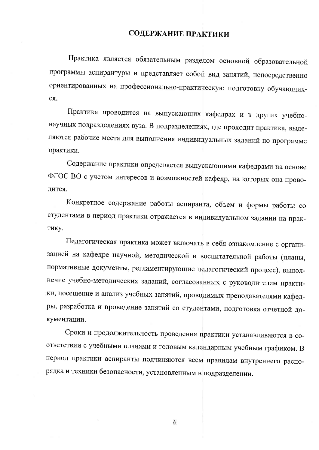#### СОДЕРЖАНИЕ ПРАКТИКИ

Практика является обязательным разделом основной образовательной программы аспирантуры и представляет собой вид занятий, непосредственно ориентированных на профессионально-практическую подготовку обучающихcя.

Практика проводится на выпускающих кафедрах и в других учебнонаучных подразделениях вуза. В подразделениях, где проходит практика, выделяются рабочие места для выполнения индивидуальных заданий по программе практики.

Содержание практики определяется выпускающими кафедрами на основе ФГОС ВО с учетом интересов и возможностей кафедр, на которых она проводится.

Конкретное содержание работы аспиранта, объем и формы работы со студентами в период практики отражается в индивидуальном задании на практику.

Педагогическая практика может включать в себя ознакомление с организацией на кафедре научной, методической и воспитательной работы (планы, нормативные документы, регламентирующие педагогический процесс), выполнение учебно-методических заданий, согласованных с руководителем практики, посещение и анализ учебных занятий, проводимых преподавателями кафедры, разработка и проведение занятий со студентами, подготовка отчетной документации.

Сроки и продолжительность проведения практики устанавливаются в соответствии с учебными планами и годовым календарным учебным графиком. В период практики аспиранты подчиняются всем правилам внутреннего распорядка и техники безопасности, установленным в подразделении.

6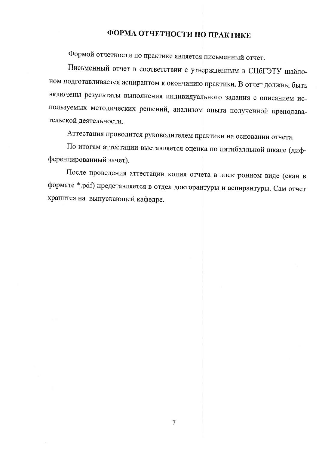## ФОРМА ОТЧЕТНОСТИ ПО ПРАКТИКЕ

Формой отчетности по практике является письменный отчет.

Письменный отчет в соответствии с утвержденным в СПбГЭТУ шаблоном подготавливается аспирантом к окончанию практики. В отчет должны быть включены результаты выполнения индивидуального задания с описанием используемых методических решений, анализом опыта полученной преподавательской деятельности.

Аттестация проводится руководителем практики на основании отчета.

По итогам аттестации выставляется оценка по пятибалльной шкале (дифференцированный зачет).

После проведения аттестации копия отчета в электронном виде (скан в формате \*.pdf) представляется в отдел докторантуры и аспирантуры. Сам отчет хранится на выпускающей кафедре.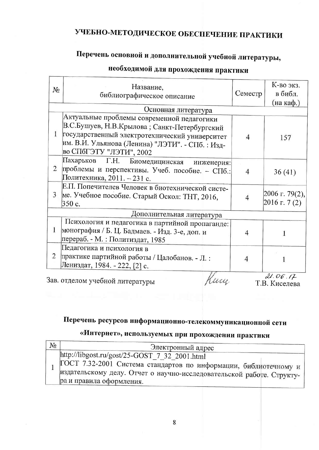# УЧЕБНО-МЕТОДИЧЕСКОЕ ОБЕСПЕЧЕНИЕ ПРАКТИКИ

# Перечень основной и дополнительной учебной литературы,

# необходимой для прохождения практики

| No                        | Название,<br>библиографическое описание                                                                                                                                                                                      | Семестр | К-во экз.<br>в библ.<br>(на каф.) |  |  |  |  |
|---------------------------|------------------------------------------------------------------------------------------------------------------------------------------------------------------------------------------------------------------------------|---------|-----------------------------------|--|--|--|--|
|                           | Основная литература                                                                                                                                                                                                          |         |                                   |  |  |  |  |
| 1                         | Актуальные проблемы современной педагогики<br>В.С.Бушуев, Н.В.Крылова; Санкт-Петербургский<br>государственный электротехнический университет<br> им. В.И. Ульянова (Ленина) "ЛЭТИ". - СПб. : Изд-<br>во СПбГЭТУ "ЛЭТИ", 2002 | 4       | 157                               |  |  |  |  |
| 2                         | Пахарьков Г.Н. Биомедицинская<br>инженерия:<br>проблемы и перспективы. Учеб. пособие. - СПб.:<br>Политехника, 2011. - 231 с.                                                                                                 | 4       | 36(41)                            |  |  |  |  |
| 3                         | Е.П. Попечителев Человек в биотехнической систе-<br>ме. Учебное пособие. Старый Оскол: ТНТ, 2016,<br>350 c.                                                                                                                  |         | 2006 г. 79(2),<br>$2016$ r. 7 (2) |  |  |  |  |
| Дополнительная литература |                                                                                                                                                                                                                              |         |                                   |  |  |  |  |
| $\mathbf{1}$              | Психология и педагогика в партийной пропаганде:<br>монография / Б. Ц. Бадмаев. - Изд. 3-е, доп. и<br>перераб. - М. : Политиздат, 1985                                                                                        |         |                                   |  |  |  |  |
| 2                         | Педагогика и психология в<br>практике партийной работы / Цалобанов. - Л.:<br>Лениздат, 1984. - 222, [2] с.                                                                                                                   |         |                                   |  |  |  |  |
|                           |                                                                                                                                                                                                                              |         | 21.06.17                          |  |  |  |  |

Зав. отделом учебной литературы

pucy

Т.В. Киселева

# Перечень ресурсов информационно-телекоммуникационной сети

## «Интернет», используемых при прохождении практики

| $N_2$ | Электронный адрес                                                                                                                                                                                                                                                                            |
|-------|----------------------------------------------------------------------------------------------------------------------------------------------------------------------------------------------------------------------------------------------------------------------------------------------|
|       | $\frac{\text{http://libgost.ru/gost/25-GOST} 7 32 2001.html}{\text{http://libgost.ru/gost/25-GOST} 7 32 2001.html}$<br>ГОСТ 7.32-2001 Система стандартов по информации, библиотечному и<br>издательскому делу. Отчет о научно-исследовательской работе. Структу-<br>ра и правила оформления. |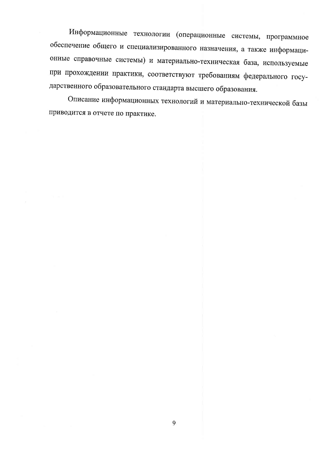Информационные технологии (операционные системы, программное обеспечение общего и специализированного назначения, а также информационные справочные системы) и материально-техническая база, используемые при прохождении практики, соответствуют требованиям федерального государственного образовательного стандарта высшего образования.

Описание информационных технологий и материально-технической базы приводится в отчете по практике.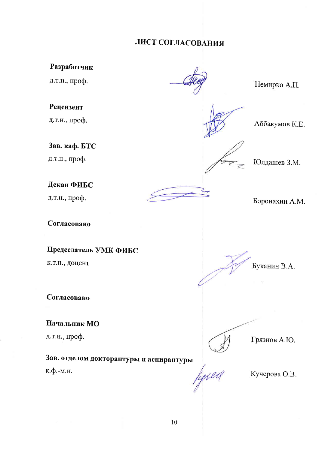## ЛИСТ СОГЛАСОВАНИЯ

#### Разработчик

д.т.н., проф.

#### Рецензент

д.т.н., проф.

#### Зав. каф. БТС

д.т.н., проф.

#### Декан ФИБС

д.т.н., проф.

#### Согласовано

#### Председатель УМК ФИБС

к.т.н., доцент

Согласовано

#### Начальник МО

д.т.н., проф.

# Зав. отделом докторантуры и аспирантуры fysed

к.ф.-м.н.

#### Немирко А.П.



Аббакумов К.Е.

## Юлдашев З.М.

Боронахин А.М.

Буканин В.А.

Грязнов А.Ю.

Кучерова О.В.

10